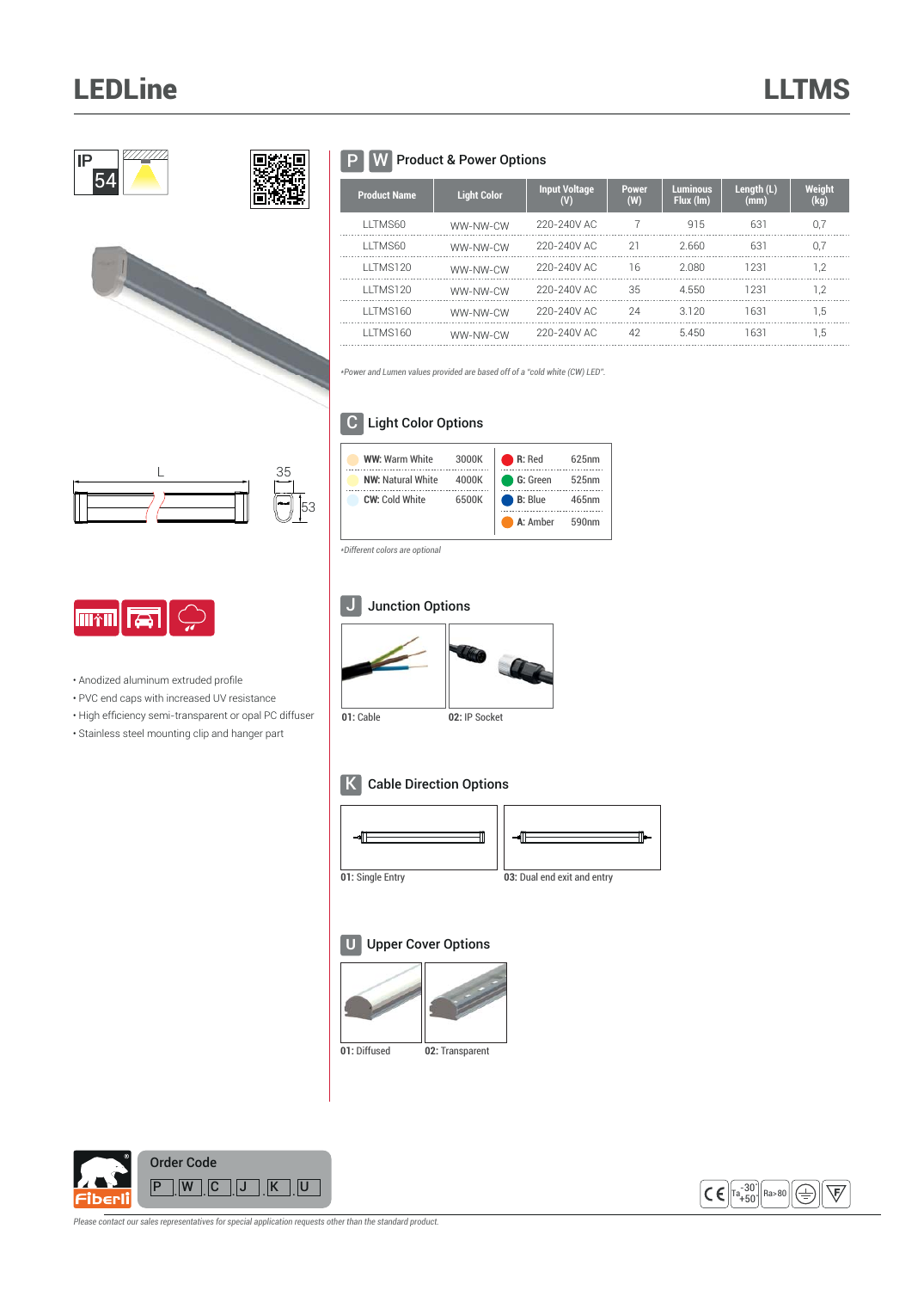# LEDLine LLTMS





## P W Product & Power Options

| <b>Product Name</b> | <b>Light Color</b> | <b>Input Voltage</b><br>$\mathbf (V)$ | <b>Power</b><br>(W) | <b>Luminous</b><br>Flux (lm) | Length $(L)$<br>(mm) | <b>Weight</b><br>(kg) |
|---------------------|--------------------|---------------------------------------|---------------------|------------------------------|----------------------|-----------------------|
| LITMS60             | WW-NW-CW           | 220-240V AC                           |                     | 915                          | 631                  | 0.7                   |
| LITMS60             | WW-NW-CW           | 220-240V AC                           | 21                  | 2.660                        | 631                  | 0.7                   |
| LITMS120            | WW-NW-CW           | 220-240V AC                           | 16                  | 2.080                        | 1231                 | 1.2                   |
| LITMS120            | WW-NW-CW           | 220-240V AC                           | 35                  | 4550                         | 1231                 | 1.2                   |
| LITMS160            | WW-NW-CW           | 220-240V AC                           | 24                  | 3120                         | 1631                 | 1.5                   |
| LITMS160            | WW-NW-CW           | 220-240V AC                           | 42                  | 5450                         | 1631                 | 1.5                   |

**R:** Red 625nm

**B:** Blue 465nm **G:** Green 525nm

**A:** Amber 590nm

*\*Power and Lumen values provided are based off of a "cold white (CW) LED".*

### C Light Color Options

**WW:** Warm White 3000K **NW:** Natural White 4000K **CW:** Cold White 6500K





• Anodized aluminum extruded profile • PVC end caps with increased UV resistance  $\boldsymbol{\cdot}$  High efficiency semi-transparent or opal PC diffuser • Stainless steel mounting clip and hanger part

# J Junction Options

*\*Different colors are optional*



### K Cable Direction Options



**U** Upper Cover Options





 $\begin{bmatrix} 7a - 30 \\ + 50 \end{bmatrix}$ Ra>80 (手)  $\forall$ 

*Please contact our sales representatives for special application requests other than the standard product.*